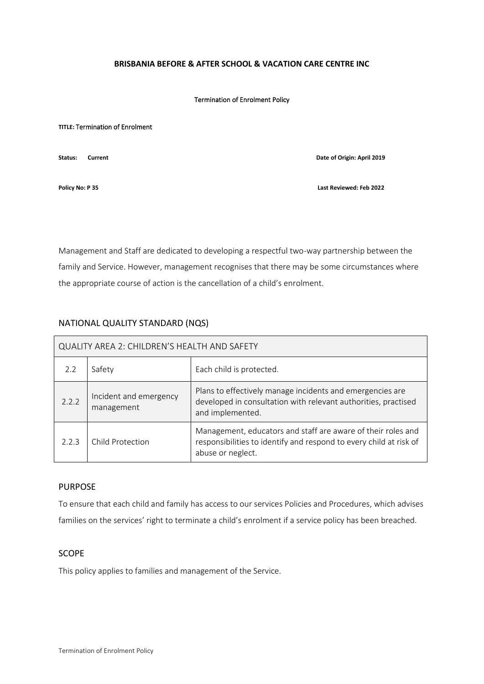### **BRISBANIA BEFORE & AFTER SCHOOL & VACATION CARE CENTRE INC**

#### Termination of Enrolment Policy

#### **TITLE:** Termination of Enrolment

**Status: Current Date of Origin: April 2019**

**Policy No: P 35 Last Reviewed: Feb 2022**

Management and Staff are dedicated to developing a respectful two-way partnership between the family and Service. However, management recognises that there may be some circumstances where the appropriate course of action is the cancellation of a child's enrolment.

# NATIONAL QUALITY STANDARD (NQS)

| QUALITY AREA 2: CHILDREN'S HEALTH AND SAFETY |                                      |                                                                                                                                                         |  |
|----------------------------------------------|--------------------------------------|---------------------------------------------------------------------------------------------------------------------------------------------------------|--|
| 2.2                                          | Safety                               | Each child is protected.                                                                                                                                |  |
| 2.2.2                                        | Incident and emergency<br>management | Plans to effectively manage incidents and emergencies are<br>developed in consultation with relevant authorities, practised<br>and implemented.         |  |
| 2.2.3                                        | <b>Child Protection</b>              | Management, educators and staff are aware of their roles and<br>responsibilities to identify and respond to every child at risk of<br>abuse or neglect. |  |

# PURPOSE

To ensure that each child and family has access to our services Policies and Procedures, which advises families on the services' right to terminate a child's enrolment if a service policy has been breached.

## SCOPE

This policy applies to families and management of the Service.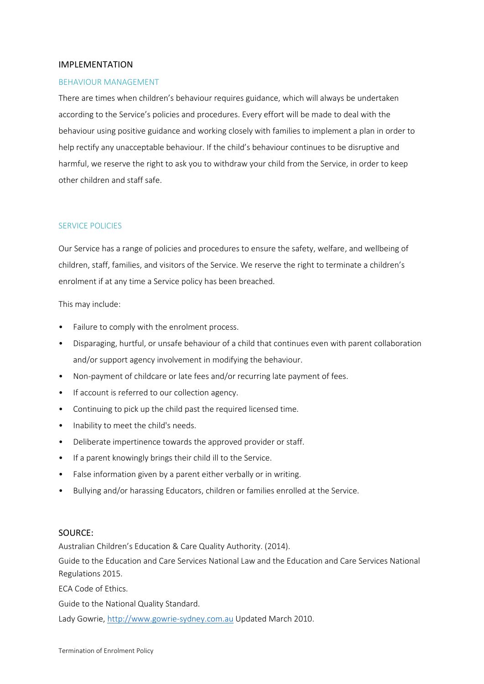## IMPLEMENTATION

## BEHAVIOUR MANAGEMENT

There are times when children's behaviour requires guidance, which will always be undertaken according to the Service's policies and procedures. Every effort will be made to deal with the behaviour using positive guidance and working closely with families to implement a plan in order to help rectify any unacceptable behaviour. If the child's behaviour continues to be disruptive and harmful, we reserve the right to ask you to withdraw your child from the Service, in order to keep other children and staff safe.

## SERVICE POLICIES

Our Service has a range of policies and procedures to ensure the safety, welfare, and wellbeing of children, staff, families, and visitors of the Service. We reserve the right to terminate a children's enrolment if at any time a Service policy has been breached.

This may include:

- Failure to comply with the enrolment process.
- Disparaging, hurtful, or unsafe behaviour of a child that continues even with parent collaboration and/or support agency involvement in modifying the behaviour.
- Non-payment of childcare or late fees and/or recurring late payment of fees.
- If account is referred to our collection agency.
- Continuing to pick up the child past the required licensed time.
- Inability to meet the child's needs.
- Deliberate impertinence towards the approved provider or staff.
- If a parent knowingly brings their child ill to the Service.
- False information given by a parent either verbally or in writing.
- Bullying and/or harassing Educators, children or families enrolled at the Service.

## SOURCE:

Australian Children's Education & Care Quality Authority. (2014).

Guide to the Education and Care Services National Law and the Education and Care Services National Regulations 2015.

ECA Code of Ethics.

Guide to the National Quality Standard.

Lady Gowrie, [http://www.gowrie-sydney.com.au](http://www.gowrie-sydney.com.au/) Updated March 2010.